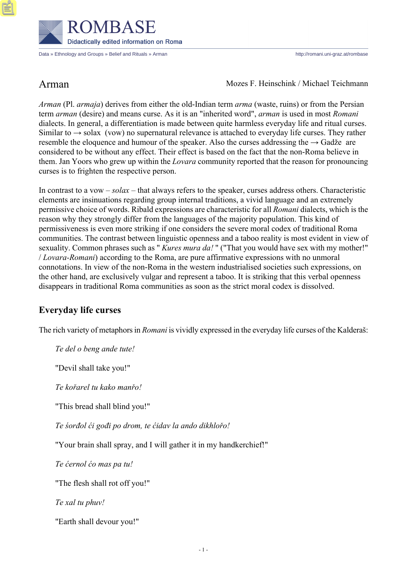

Data » Ethnology and Groups » Belief and Rituals » Arman http://romani.uni-graz.at/rombase

Arman Mozes F. Heinschink / Michael Teichmann

*Arman* (Pl. *armaja*) derives from either the old-Indian term *arma* (waste, ruins) or from the Persian term *arman* (desire) and means curse. As it is an "inherited word", *arman* is used in most *Romani* dialects. In general, a differentiation is made between quite harmless everyday life and ritual curses. Similar to  $\rightarrow$  solax (vow) no supernatural relevance is attached to everyday life curses. They rather resemble the eloquence and humour of the speaker. Also the curses addressing the  $\rightarrow$  Gadže are considered to be without any effect. Their effect is based on the fact that the non-Roma believe in them. Jan Yoors who grew up within the *Lovara* community reported that the reason for pronouncing curses is to frighten the respective person.

In contrast to a vow – *solax* – that always refers to the speaker, curses address others. Characteristic elements are insinuations regarding group internal traditions, a vivid language and an extremely permissive choice of words. Ribald expressions are characteristic for all *Romani* dialects, which is the reason why they strongly differ from the languages of the majority population. This kind of permissiveness is even more striking if one considers the severe moral codex of traditional Roma communities. The contrast between linguistic openness and a taboo reality is most evident in view of sexuality. Common phrases such as " *Kures mura da!* " ("That you would have sex with my mother!" / *Lovara-Romani*) according to the Roma, are pure affirmative expressions with no unmoral connotations. In view of the non-Roma in the western industrialised societies such expressions, on the other hand, are exclusively vulgar and represent a taboo. It is striking that this verbal openness disappears in traditional Roma communities as soon as the strict moral codex is dissolved.

# **Everyday life curses**

The rich variety of metaphors in *Romani* is vividly expressed in the everyday life curses of the Kalderaš:

*Te del o beng ande tute!*

"Devil shall take you!"

*Te kořarel tu kako manřo!*

"This bread shall blind you!"

*Te śorđol ći gođi po drom, te ćidav la ando dikhlořo!*

"Your brain shall spray, and I will gather it in my handkerchief!"

*Te ćernol ćo mas pa tu!*

"The flesh shall rot off you!"

*Te xal tu phuv!*

"Earth shall devour you!"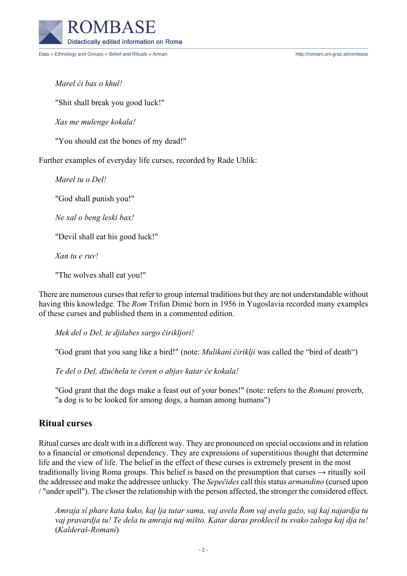

Data » Ethnology and Groups » Belief and Rituals » Arman http://romani.uni-graz.at/rombase

*Marel ći bax o khul!*

"Shit shall break you good luck!"

*Xas me mulenge kokala!*

"You should eat the bones of my dead!"

Further examples of everyday life curses, recorded by Rade Uhlik:

*Marel tu o Del!*

"God shall punish you!"

*Ne xal o beng leski bax!*

"Devil shall eat his good luck!"

*Xan tu e ruv!*

"The wolves shall eat you!"

There are numerous curses that refer to group internal traditions but they are not understandable without having this knowledge. The *Rom* Trifun Dimić born in 1956 in Yugoslavia recorded many examples of these curses and published them in a commented edition.

*Mek del o Del, te djilabes sargo čirikljori!*

"God grant that you sang like a bird!" (note: *Mulikani čiriklji* was called the "bird of death")

*Te del o Del, džućhela te ćeren o abjav katar će kokala!*

"God grant that the dogs make a feast out of your bones!" (note: refers to the *Romani* proverb, "a dog is to be looked for among dogs, a human among humans")

### **Ritual curses**

Ritual curses are dealt with in a different way. They are pronounced on special occasions and in relation to a financial or emotional dependency. They are expressions of superstitious thought that determine life and the view of life. The belief in the effect of these curses is extremely present in the most traditionally living Roma groups. This belief is based on the presumption that curses  $\rightarrow$  ritually soil the addressee and make the addressee unlucky. The *Sepečides* call this status *armandino* (cursed upon / "under spell"). The closer the relationship with the person affected, the stronger the considered effect.

*Amraja sî phare kata kuko, kaj lja tutar sama, vaj avela Řom vaj avela gaźo, vaj kaj najardja tu vaj pravardja tu! Te dela tu amraja naj mišto. Katar daras proklecil tu svako zaloga kaj dja tu!* (*Kalderaš-Romani*)